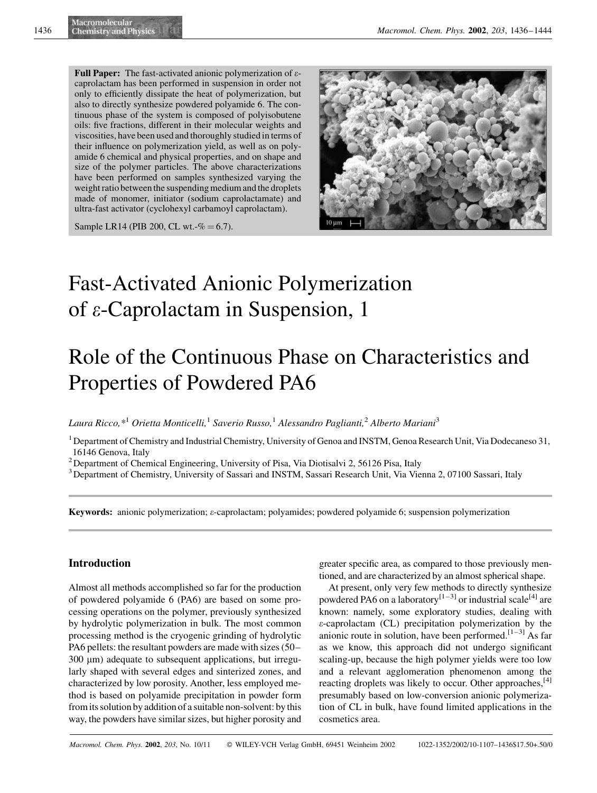**Full Paper:** The fast-activated anionic polymerization of  $\varepsilon$ caprolactam has been performed in suspension in order not only to efficiently dissipate the heat of polymerization, but also to directly synthesize powdered polyamide 6. The continuous phase of the system is composed of polyisobutene oils: five fractions, different in their molecular weights and viscosities, have been used and thoroughly studied in terms of their influence on polymerization yield, as well as on polyamide 6 chemical and physical properties, and on shape and size of the polymer particles. The above characterizations have been performed on samples synthesized varying the weight ratio between the suspending medium and the droplets made of monomer, initiator (sodium caprolactamate) and ultra-fast activator (cyclohexyl carbamoyl caprolactam).

Sample LR14 (PIB 200, CL wt.- $\% = 6.7$ ).



# Fast-Activated Anionic Polymerization of e-Caprolactam in Suspension, 1

# Role of the Continuous Phase on Characteristics and Properties of Powdered PA6

Laura Ricco,  $*^1$  Orietta Monticelli, <sup>1</sup> Saverio Russo, <sup>1</sup> Alessandro Paglianti, <sup>2</sup> Alberto Mariani<sup>3</sup>

<sup>1</sup> Department of Chemistry and Industrial Chemistry, University of Genoa and INSTM, Genoa Research Unit, Via Dodecaneso 31, 16146 Genova, Italy

<sup>2</sup> Department of Chemical Engineering, University of Pisa, Via Diotisalvi 2, 56126 Pisa, Italy

<sup>3</sup> Department of Chemistry, University of Sassari and INSTM, Sassari Research Unit, Via Vienna 2, 07100 Sassari, Italy

Keywords: anionic polymerization; e-caprolactam; polyamides; powdered polyamide 6; suspension polymerization

## Introduction

Almost all methods accomplished so far for the production of powdered polyamide 6 (PA6) are based on some processing operations on the polymer, previously synthesized by hydrolytic polymerization in bulk. The most common processing method is the cryogenic grinding of hydrolytic PA6 pellets: the resultant powders are made with sizes (50–  $300 \mu m$ ) adequate to subsequent applications, but irregularly shaped with several edges and sinterized zones, and characterized by low porosity. Another, less employed method is based on polyamide precipitation in powder form from its solution by addition of a suitable non-solvent: by this way, the powders have similar sizes, but higher porosity and greater specific area, as compared to those previously mentioned, and are characterized by an almost spherical shape.

At present, only very few methods to directly synthesize powdered PA6 on a laboratory<sup>[1–3]</sup> or industrial scale<sup>[4]</sup> are known: namely, some exploratory studies, dealing with  $\epsilon$ -caprolactam (CL) precipitation polymerization by the anionic route in solution, have been performed.<sup>[1–3]</sup> As far as we know, this approach did not undergo significant scaling-up, because the high polymer yields were too low and a relevant agglomeration phenomenon among the reacting droplets was likely to occur. Other approaches,<sup>[4]</sup> presumably based on low-conversion anionic polymerization of CL in bulk, have found limited applications in the cosmetics area.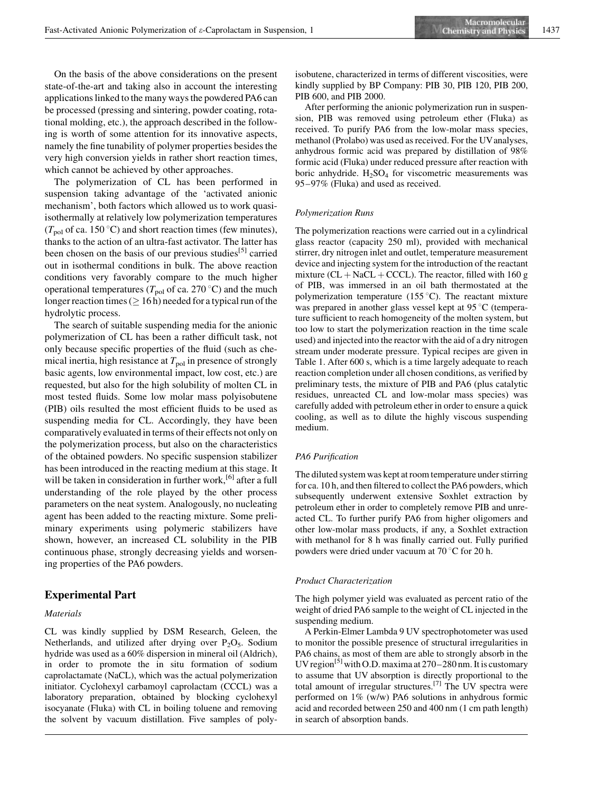On the basis of the above considerations on the present state-of-the-art and taking also in account the interesting applications linked to the many ways the powdered PA6 can be processed (pressing and sintering, powder coating, rotational molding, etc.), the approach described in the following is worth of some attention for its innovative aspects, namely the fine tunability of polymer properties besides the very high conversion yields in rather short reaction times, which cannot be achieved by other approaches.

The polymerization of CL has been performed in suspension taking advantage of the 'activated anionic mechanism', both factors which allowed us to work quasiisothermally at relatively low polymerization temperatures  $(T_{\text{pol}}$  of ca. 150 °C) and short reaction times (few minutes), thanks to the action of an ultra-fast activator. The latter has been chosen on the basis of our previous studies<sup>[5]</sup> carried out in isothermal conditions in bulk. The above reaction conditions very favorably compare to the much higher operational temperatures ( $T_{pol}$  of ca. 270 °C) and the much longer reaction times ( $\geq 16$  h) needed for a typical run of the hydrolytic process.

The search of suitable suspending media for the anionic polymerization of CL has been a rather difficult task, not only because specific properties of the fluid (such as chemical inertia, high resistance at  $T_{pol}$  in presence of strongly basic agents, low environmental impact, low cost, etc.) are requested, but also for the high solubility of molten CL in most tested fluids. Some low molar mass polyisobutene (PIB) oils resulted the most efficient fluids to be used as suspending media for CL. Accordingly, they have been comparatively evaluated in terms of their effects not only on the polymerization process, but also on the characteristics of the obtained powders. No specific suspension stabilizer has been introduced in the reacting medium at this stage. It will be taken in consideration in further work,<sup>[6]</sup> after a full understanding of the role played by the other process parameters on the neat system. Analogously, no nucleating agent has been added to the reacting mixture. Some preliminary experiments using polymeric stabilizers have shown, however, an increased CL solubility in the PIB continuous phase, strongly decreasing yields and worsening properties of the PA6 powders.

## Experimental Part

#### Materials

CL was kindly supplied by DSM Research, Geleen, the Netherlands, and utilized after drying over  $P_2O_5$ . Sodium hydride was used as a 60% dispersion in mineral oil (Aldrich), in order to promote the in situ formation of sodium caprolactamate (NaCL), which was the actual polymerization initiator. Cyclohexyl carbamoyl caprolactam (CCCL) was a laboratory preparation, obtained by blocking cyclohexyl isocyanate (Fluka) with CL in boiling toluene and removing the solvent by vacuum distillation. Five samples of polyisobutene, characterized in terms of different viscosities, were kindly supplied by BP Company: PIB 30, PIB 120, PIB 200, PIB 600, and PIB 2000.

After performing the anionic polymerization run in suspension, PIB was removed using petroleum ether (Fluka) as received. To purify PA6 from the low-molar mass species, methanol (Prolabo) was used as received. For the UVanalyses, anhydrous formic acid was prepared by distillation of 98% formic acid (Fluka) under reduced pressure after reaction with boric anhydride.  $H_2SO_4$  for viscometric measurements was 95–97% (Fluka) and used as received.

#### Polymerization Runs

The polymerization reactions were carried out in a cylindrical glass reactor (capacity 250 ml), provided with mechanical stirrer, dry nitrogen inlet and outlet, temperature measurement device and injecting system for the introduction of the reactant mixture (CL + NaCL + CCCL). The reactor, filled with 160 g of PIB, was immersed in an oil bath thermostated at the polymerization temperature (155 $\degree$ C). The reactant mixture was prepared in another glass vessel kept at 95 °C (temperature sufficient to reach homogeneity of the molten system, but too low to start the polymerization reaction in the time scale used) and injected into the reactor with the aid of a dry nitrogen stream under moderate pressure. Typical recipes are given in Table 1. After 600 s, which is a time largely adequate to reach reaction completion under all chosen conditions, as verified by preliminary tests, the mixture of PIB and PA6 (plus catalytic residues, unreacted CL and low-molar mass species) was carefully added with petroleum ether in order to ensure a quick cooling, as well as to dilute the highly viscous suspending medium.

#### PA6 Purification

The diluted system was kept at room temperature under stirring for ca. 10 h, and then filtered to collect the PA6 powders, which subsequently underwent extensive Soxhlet extraction by petroleum ether in order to completely remove PIB and unreacted CL. To further purify PA6 from higher oligomers and other low-molar mass products, if any, a Soxhlet extraction with methanol for 8 h was finally carried out. Fully purified powders were dried under vacuum at  $70^{\circ}$ C for 20 h.

#### Product Characterization

The high polymer yield was evaluated as percent ratio of the weight of dried PA6 sample to the weight of CL injected in the suspending medium.

A Perkin-Elmer Lambda 9 UV spectrophotometer was used to monitor the possible presence of structural irregularities in PA6 chains, as most of them are able to strongly absorb in the UV region<sup>[5]</sup> with O.D. maxima at  $270-280$  nm. It is customary to assume that UV absorption is directly proportional to the total amount of irregular structures.[7] The UV spectra were performed on 1% (w/w) PA6 solutions in anhydrous formic acid and recorded between 250 and 400 nm (1 cm path length) in search of absorption bands.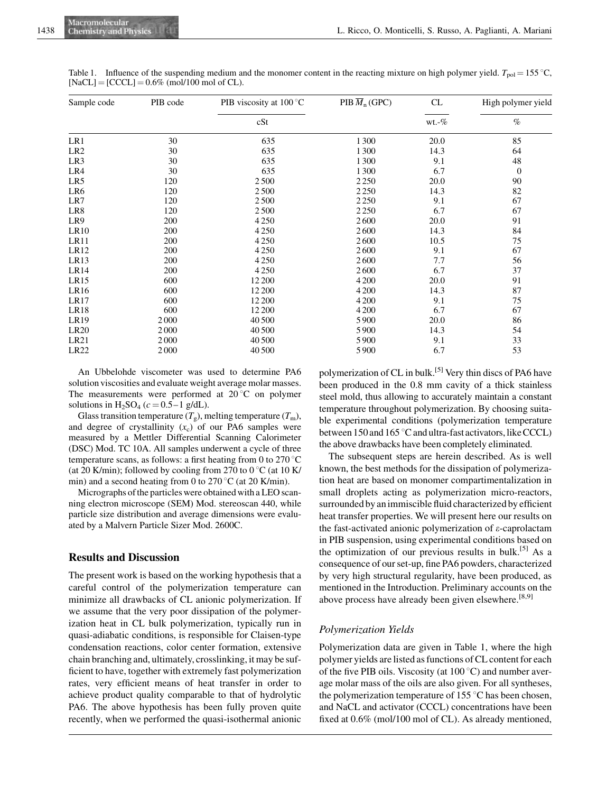| Sample code      | PIB code | PIB viscosity at $100^{\circ}$ C | $PIB \overline{M}_n$ (GPC) | CL      | High polymer yield |  |
|------------------|----------|----------------------------------|----------------------------|---------|--------------------|--|
|                  |          | cSt                              |                            | $wt.-%$ | $\%$               |  |
| LR1              | 30       | 635                              | 1300                       | 20.0    | 85                 |  |
| LR <sub>2</sub>  | 30       | 635                              | 1300                       | 14.3    | 64                 |  |
| LR <sub>3</sub>  | 30       | 635                              | 1300                       | 9.1     | 48                 |  |
| LR4              | 30       | 635                              | 1300                       | 6.7     | $\boldsymbol{0}$   |  |
| LR5              | 120      | 2500                             | 2250                       | 20.0    | 90                 |  |
| LR6              | 120      | 2500                             | 2250                       | 14.3    | 82                 |  |
| LR7              | 120      | 2500                             | 2250                       | 9.1     | 67                 |  |
| LR8              | 120      | 2500                             | 2250                       | 6.7     | 67                 |  |
| LR9              | 200      | 4250                             | 2600                       | 20.0    | 91                 |  |
| LR <sub>10</sub> | 200      | 4250                             | 2600                       | 14.3    | 84                 |  |
| LR11             | 200      | 4250                             | 2600                       | 10.5    | 75                 |  |
| LR12             | 200      | 4250                             | 2600                       | 9.1     | 67                 |  |
| LR13             | 200      | 4250                             | 2600                       | 7.7     | 56                 |  |
| LR14             | 200      | 4250                             | 2600                       | 6.7     | 37                 |  |
| LR <sub>15</sub> | 600      | 12 200                           | 4 2 0 0                    | 20.0    | 91                 |  |
| LR <sub>16</sub> | 600      | 12 200                           | 4 2 0 0                    | 14.3    | 87                 |  |
| LR <sub>17</sub> | 600      | 12 200                           | 4 2 0 0                    | 9.1     | 75                 |  |
| LR18             | 600      | 12 200                           | 4200                       | 6.7     | 67                 |  |
| LR19             | 2000     | 40 500                           | 5900                       | 20.0    | 86                 |  |
| LR20             | 2000     | 40 500                           | 5900                       | 14.3    | 54                 |  |
| LR <sub>21</sub> | 2000     | 40 500                           | 5900                       | 9.1     | 33                 |  |
| LR <sub>22</sub> | 2000     | 40 500                           | 5900                       | 6.7     | 53                 |  |

Table 1. Influence of the suspending medium and the monomer content in the reacting mixture on high polymer yield.  $T_{pol} = 155 \degree C$ ,  $[NaCL] = [CCCL] = 0.6\%$  (mol/100 mol of CL).

An Ubbelohde viscometer was used to determine PA6 solution viscosities and evaluate weight average molar masses. The measurements were performed at  $20^{\circ}$ C on polymer solutions in H<sub>2</sub>SO<sub>4</sub> ( $c = 0.5-1$  g/dL).

Glass transition temperature  $(T_g)$ , melting temperature  $(T_m)$ , and degree of crystallinity  $(x_c)$  of our PA6 samples were measured by a Mettler Differential Scanning Calorimeter (DSC) Mod. TC 10A. All samples underwent a cycle of three temperature scans, as follows: a first heating from 0 to 270  $\degree$ C (at 20 K/min); followed by cooling from 270 to  $0^{\circ}$ C (at 10 K/ min) and a second heating from 0 to 270  $\mathrm{^{\circ}C}$  (at 20 K/min).

Micrographs of the particles were obtained with a LEO scanning electron microscope (SEM) Mod. stereoscan 440, while particle size distribution and average dimensions were evaluated by a Malvern Particle Sizer Mod. 2600C.

#### Results and Discussion

The present work is based on the working hypothesis that a careful control of the polymerization temperature can minimize all drawbacks of CL anionic polymerization. If we assume that the very poor dissipation of the polymerization heat in CL bulk polymerization, typically run in quasi-adiabatic conditions, is responsible for Claisen-type condensation reactions, color center formation, extensive chain branching and, ultimately, crosslinking, it may be sufficient to have, together with extremely fast polymerization rates, very efficient means of heat transfer in order to achieve product quality comparable to that of hydrolytic PA6. The above hypothesis has been fully proven quite recently, when we performed the quasi-isothermal anionic

polymerization of CL in bulk.[5] Very thin discs of PA6 have been produced in the 0.8 mm cavity of a thick stainless steel mold, thus allowing to accurately maintain a constant temperature throughout polymerization. By choosing suitable experimental conditions (polymerization temperature between 150 and 165  $\degree$ C and ultra-fast activators, like CCCL) the above drawbacks have been completely eliminated.

The subsequent steps are herein described. As is well known, the best methods for the dissipation of polymerization heat are based on monomer compartimentalization in small droplets acting as polymerization micro-reactors, surrounded by an immiscible fluid characterized by efficient heat transfer properties. We will present here our results on the fast-activated anionic polymerization of e-caprolactam in PIB suspension, using experimental conditions based on the optimization of our previous results in bulk.<sup>[5]</sup> As a consequence of our set-up, fine PA6 powders, characterized by very high structural regularity, have been produced, as mentioned in the Introduction. Preliminary accounts on the above process have already been given elsewhere.<sup>[8,9]</sup>

# Polymerization Yields

Polymerization data are given in Table 1, where the high polymer yields are listed as functions of CL content for each of the five PIB oils. Viscosity (at  $100\degree C$ ) and number average molar mass of the oils are also given. For all syntheses, the polymerization temperature of 155  $\degree$ C has been chosen, and NaCL and activator (CCCL) concentrations have been fixed at 0.6% (mol/100 mol of CL). As already mentioned,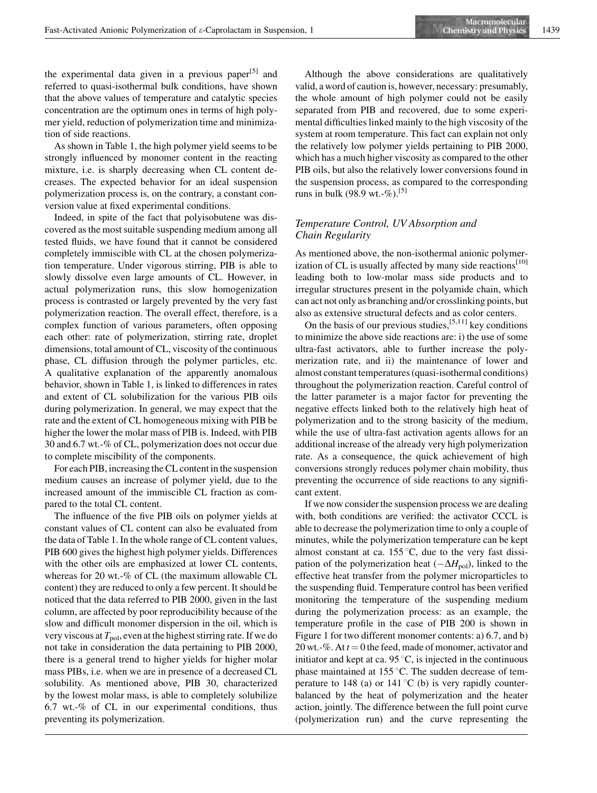the experimental data given in a previous paper $[5]$  and referred to quasi-isothermal bulk conditions, have shown that the above values of temperature and catalytic species concentration are the optimum ones in terms of high polymer yield, reduction of polymerization time and minimization of side reactions.

As shown in Table 1, the high polymer yield seems to be strongly influenced by monomer content in the reacting mixture, i.e. is sharply decreasing when CL content decreases. The expected behavior for an ideal suspension polymerization process is, on the contrary, a constant conversion value at fixed experimental conditions.

Indeed, in spite of the fact that polyisobutene was discovered as the most suitable suspending medium among all tested fluids, we have found that it cannot be considered completely immiscible with CL at the chosen polymerization temperature. Under vigorous stirring, PIB is able to slowly dissolve even large amounts of CL. However, in actual polymerization runs, this slow homogenization process is contrasted or largely prevented by the very fast polymerization reaction. The overall effect, therefore, is a complex function of various parameters, often opposing each other: rate of polymerization, stirring rate, droplet dimensions, total amount of CL, viscosity of the continuous phase, CL diffusion through the polymer particles, etc. A qualitative explanation of the apparently anomalous behavior, shown in Table 1, is linked to differences in rates and extent of CL solubilization for the various PIB oils during polymerization. In general, we may expect that the rate and the extent of CL homogeneous mixing with PIB be higher the lower the molar mass of PIB is. Indeed, with PIB 30 and 6.7 wt.-% of CL, polymerization does not occur due to complete miscibility of the components.

For each PIB, increasing the CL content in the suspension medium causes an increase of polymer yield, due to the increased amount of the immiscible CL fraction as compared to the total CL content.

The influence of the five PIB oils on polymer yields at constant values of CL content can also be evaluated from the data of Table 1. In the whole range of CL content values, PIB 600 gives the highest high polymer yields. Differences with the other oils are emphasized at lower CL contents, whereas for 20 wt.-% of CL (the maximum allowable CL content) they are reduced to only a few percent. It should be noticed that the data referred to PIB 2000, given in the last column, are affected by poor reproducibility because of the slow and difficult monomer dispersion in the oil, which is very viscous at  $T_{pol}$ , even at the highest stirring rate. If we do not take in consideration the data pertaining to PIB 2000, there is a general trend to higher yields for higher molar mass PIBs, i.e. when we are in presence of a decreased CL solubility. As mentioned above, PIB 30, characterized by the lowest molar mass, is able to completely solubilize 6.7 wt.-% of CL in our experimental conditions, thus preventing its polymerization.

Although the above considerations are qualitatively valid, a word of caution is, however, necessary: presumably, the whole amount of high polymer could not be easily separated from PIB and recovered, due to some experimental difficulties linked mainly to the high viscosity of the system at room temperature. This fact can explain not only the relatively low polymer yields pertaining to PIB 2000, which has a much higher viscosity as compared to the other PIB oils, but also the relatively lower conversions found in the suspension process, as compared to the corresponding runs in bulk (98.9 wt. $-$ %).<sup>[5]</sup>

## Temperature Control, UV Absorption and Chain Regularity

As mentioned above, the non-isothermal anionic polymerization of CL is usually affected by many side reactions<sup>[10]</sup> leading both to low-molar mass side products and to irregular structures present in the polyamide chain, which can act not only as branching and/or crosslinking points, but also as extensive structural defects and as color centers.

On the basis of our previous studies,  $[5,11]$  key conditions to minimize the above side reactions are: i) the use of some ultra-fast activators, able to further increase the polymerization rate, and ii) the maintenance of lower and almost constant temperatures (quasi-isothermal conditions) throughout the polymerization reaction. Careful control of the latter parameter is a major factor for preventing the negative effects linked both to the relatively high heat of polymerization and to the strong basicity of the medium, while the use of ultra-fast activation agents allows for an additional increase of the already very high polymerization rate. As a consequence, the quick achievement of high conversions strongly reduces polymer chain mobility, thus preventing the occurrence of side reactions to any significant extent.

If we now consider the suspension process we are dealing with, both conditions are verified: the activator CCCL is able to decrease the polymerization time to only a couple of minutes, while the polymerization temperature can be kept almost constant at ca.  $155^{\circ}$ C, due to the very fast dissipation of the polymerization heat  $(-\Delta H_{\text{pol}})$ , linked to the effective heat transfer from the polymer microparticles to the suspending fluid. Temperature control has been verified monitoring the temperature of the suspending medium during the polymerization process: as an example, the temperature profile in the case of PIB 200 is shown in Figure 1 for two different monomer contents: a) 6.7, and b) 20 wt.-%. At  $t = 0$  the feed, made of monomer, activator and initiator and kept at ca. 95 $\degree$ C, is injected in the continuous phase maintained at  $155^{\circ}$ C. The sudden decrease of temperature to 148 (a) or 141  $\degree$ C (b) is very rapidly counterbalanced by the heat of polymerization and the heater action, jointly. The difference between the full point curve (polymerization run) and the curve representing the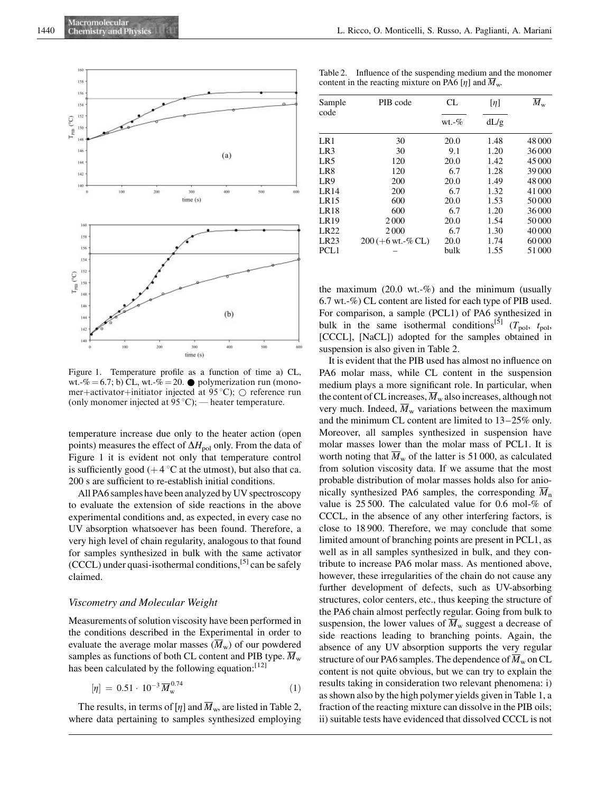

Figure 1. Temperature profile as a function of time a) CL, wt.-% = 6.7; b) CL, wt.-% = 20.  $\bullet$  polymerization run (monomer+activator+initiator injected at  $95^{\circ}$ C);  $\circ$  reference run (only monomer injected at  $95^{\circ}$ C); — heater temperature.

temperature increase due only to the heater action (open points) measures the effect of  $\Delta H_{\text{pol}}$  only. From the data of Figure 1 it is evident not only that temperature control is sufficiently good ( $+4^{\circ}$ C at the utmost), but also that ca. 200 s are sufficient to re-establish initial conditions.

All PA6 samples have been analyzed by UV spectroscopy to evaluate the extension of side reactions in the above experimental conditions and, as expected, in every case no UV absorption whatsoever has been found. Therefore, a very high level of chain regularity, analogous to that found for samples synthesized in bulk with the same activator  $(CCCL)$  under quasi-isothermal conditions,<sup>[5]</sup> can be safely claimed.

#### Viscometry and Molecular Weight

Measurements of solution viscosity have been performed in the conditions described in the Experimental in order to evaluate the average molar masses  $(\overline{M}_w)$  of our powdered samples as functions of both CL content and PIB type.  $\overline{M}_{w}$ has been calculated by the following equation: $[12]$ 

$$
[\eta] = 0.51 \cdot 10^{-3} \overline{M}_{\rm w}^{0.74} \tag{1}
$$

The results, in terms of  $[\eta]$  and  $\overline{M}_{w}$ , are listed in Table 2, where data pertaining to samples synthesized employing

Table 2. Influence of the suspending medium and the monomer content in the reacting mixture on PA6 [ $\eta$ ] and  $\overline{M}_{w}$ .

| Sample           | PIB code                              | CL       | $\lceil \eta \rceil$ | $\overline{M}_{\mathrm{w}}$ |
|------------------|---------------------------------------|----------|----------------------|-----------------------------|
| code             |                                       | wt.- $%$ | dL/g                 |                             |
| LR1              | 30                                    | 20.0     | 1.48                 | 48 000                      |
| LR <sub>3</sub>  | 30                                    | 9.1      | 1.20                 | 36 000                      |
| LR5              | 120                                   | 20.0     | 1.42                 | 45 000                      |
| LR8              | 120                                   | 6.7      | 1.28                 | 39 000                      |
| LR9              | 200                                   | 20.0     | 1.49                 | 48 000                      |
| LR <sub>14</sub> | 200                                   | 6.7      | 1.32                 | 41 000                      |
| LR15             | 600                                   | 20.0     | 1.53                 | 50000                       |
| LR <sub>18</sub> | 600                                   | 6.7      | 1.20                 | 36 000                      |
| LR19             | 2000                                  | 20.0     | 1.54                 | 50000                       |
| LR22             | 2000                                  | 6.7      | 1.30                 | 40 000                      |
| LR23             | $200 (+6 \text{ wt.} -\% \text{ CL})$ | 20.0     | 1.74                 | 60000                       |
| PCL <sub>1</sub> |                                       | bulk     | 1.55                 | 51000                       |

the maximum (20.0 wt.-%) and the minimum (usually 6.7 wt.-%) CL content are listed for each type of PIB used. For comparison, a sample (PCL1) of PA6 synthesized in bulk in the same isothermal conditions<sup>[5]</sup> ( $T_{pol}$ ,  $t_{pol}$ , [CCCL], [NaCL]) adopted for the samples obtained in suspension is also given in Table 2.

It is evident that the PIB used has almost no influence on PA6 molar mass, while CL content in the suspension medium plays a more significant role. In particular, when the content of CL increases,  $\overline{M}_{w}$  also increases, although not very much. Indeed,  $\overline{M}_{w}$  variations between the maximum and the minimum CL content are limited to 13–25% only. Moreover, all samples synthesized in suspension have molar masses lower than the molar mass of PCL1. It is worth noting that  $\overline{M}_{w}$  of the latter is 51 000, as calculated from solution viscosity data. If we assume that the most probable distribution of molar masses holds also for anionically synthesized PA6 samples, the corresponding  $\overline{M}_n$ value is 25 500. The calculated value for 0.6 mol-% of CCCL, in the absence of any other interfering factors, is close to 18 900. Therefore, we may conclude that some limited amount of branching points are present in PCL1, as well as in all samples synthesized in bulk, and they contribute to increase PA6 molar mass. As mentioned above, however, these irregularities of the chain do not cause any further development of defects, such as UV-absorbing structures, color centers, etc., thus keeping the structure of the PA6 chain almost perfectly regular. Going from bulk to suspension, the lower values of  $\overline{M}_{w}$  suggest a decrease of side reactions leading to branching points. Again, the absence of any UV absorption supports the very regular structure of our PA6 samples. The dependence of  $\overline{M}_{w}$  on CL content is not quite obvious, but we can try to explain the results taking in consideration two relevant phenomena: i) as shown also by the high polymer yields given in Table 1, a fraction of the reacting mixture can dissolve in the PIB oils; ii) suitable tests have evidenced that dissolved CCCL is not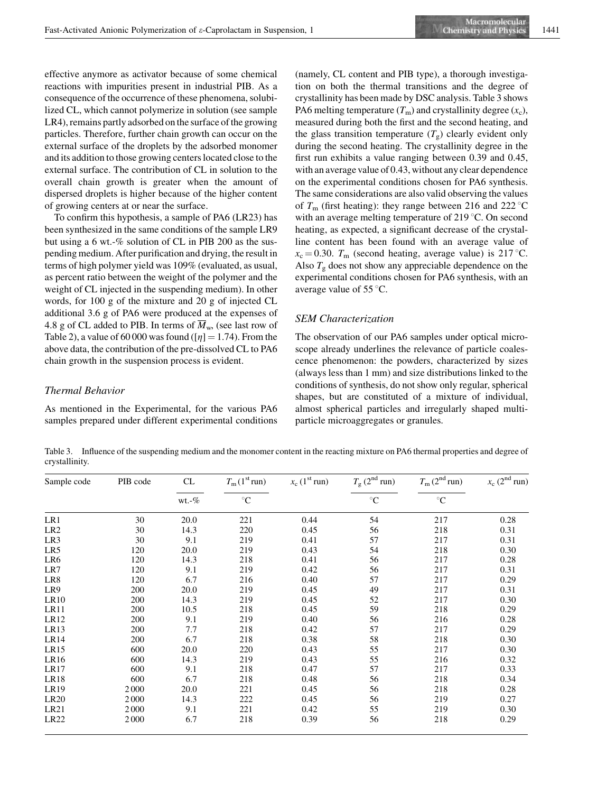effective anymore as activator because of some chemical reactions with impurities present in industrial PIB. As a consequence of the occurrence of these phenomena, solubilized CL, which cannot polymerize in solution (see sample LR4), remains partly adsorbed on the surface of the growing particles. Therefore, further chain growth can occur on the external surface of the droplets by the adsorbed monomer and its addition to those growing centers located close to the external surface. The contribution of CL in solution to the overall chain growth is greater when the amount of dispersed droplets is higher because of the higher content of growing centers at or near the surface.

To confirm this hypothesis, a sample of PA6 (LR23) has been synthesized in the same conditions of the sample LR9 but using a 6 wt.-% solution of CL in PIB 200 as the suspending medium. After purification and drying, the result in terms of high polymer yield was 109% (evaluated, as usual, as percent ratio between the weight of the polymer and the weight of CL injected in the suspending medium). In other words, for 100 g of the mixture and 20 g of injected CL additional 3.6 g of PA6 were produced at the expenses of 4.8 g of CL added to PIB. In terms of  $\overline{M}_{w}$ , (see last row of Table 2), a value of 60 000 was found ( $[\eta] = 1.74$ ). From the above data, the contribution of the pre-dissolved CL to PA6 chain growth in the suspension process is evident.

(namely, CL content and PIB type), a thorough investigation on both the thermal transitions and the degree of crystallinity has been made by DSC analysis. Table 3 shows PA6 melting temperature  $(T<sub>m</sub>)$  and crystallinity degree  $(x<sub>c</sub>)$ , measured during both the first and the second heating, and the glass transition temperature  $(T_g)$  clearly evident only during the second heating. The crystallinity degree in the first run exhibits a value ranging between 0.39 and 0.45, with an average value of 0.43, without any clear dependence on the experimental conditions chosen for PA6 synthesis. The same considerations are also valid observing the values of  $T_m$  (first heating): they range between 216 and 222 °C with an average melting temperature of  $219\degree C$ . On second heating, as expected, a significant decrease of the crystalline content has been found with an average value of  $x_c = 0.30$ .  $T_m$  (second heating, average value) is 217 °C. Also  $T_g$  does not show any appreciable dependence on the experimental conditions chosen for PA6 synthesis, with an average value of  $55^{\circ}$ C.

# SEM Characterization

The observation of our PA6 samples under optical microscope already underlines the relevance of particle coalescence phenomenon: the powders, characterized by sizes (always less than 1 mm) and size distributions linked to the conditions of synthesis, do not show only regular, spherical shapes, but are constituted of a mixture of individual, almost spherical particles and irregularly shaped multiparticle microaggregates or granules.

# Thermal Behavior

As mentioned in the Experimental, for the various PA6 samples prepared under different experimental conditions

Table 3. Influence of the suspending medium and the monomer content in the reacting mixture on PA6 thermal properties and degree of crystallinity.

| Sample code      | PIB code | CL<br>$wt.-\%$ | $T_{\rm m}$ (1 <sup>st</sup> run)<br>$^\circ \text{C}$ | $x_c$ (1 <sup>st</sup> run) | $T_{\rm g}$ (2 <sup>nd</sup> run)<br>$^{\circ}C$ | $T_{\rm m}$ (2 <sup>nd</sup> run)<br>$^{\circ}C$ | $x_c$ (2 <sup>nd</sup> run) |
|------------------|----------|----------------|--------------------------------------------------------|-----------------------------|--------------------------------------------------|--------------------------------------------------|-----------------------------|
|                  |          |                |                                                        |                             |                                                  |                                                  |                             |
| LR <sub>2</sub>  | 30       | 14.3           | 220                                                    | 0.45                        | 56                                               | 218                                              | 0.31                        |
| LR <sub>3</sub>  | 30       | 9.1            | 219                                                    | 0.41                        | 57                                               | 217                                              | 0.31                        |
| LR5              | 120      | 20.0           | 219                                                    | 0.43                        | 54                                               | 218                                              | 0.30                        |
| LR6              | 120      | 14.3           | 218                                                    | 0.41                        | 56                                               | 217                                              | 0.28                        |
| LR7              | 120      | 9.1            | 219                                                    | 0.42                        | 56                                               | 217                                              | 0.31                        |
| LR8              | 120      | 6.7            | 216                                                    | 0.40                        | 57                                               | 217                                              | 0.29                        |
| LR9              | 200      | 20.0           | 219                                                    | 0.45                        | 49                                               | 217                                              | 0.31                        |
| LR10             | 200      | 14.3           | 219                                                    | 0.45                        | 52                                               | 217                                              | 0.30                        |
| LR11             | 200      | 10.5           | 218                                                    | 0.45                        | 59                                               | 218                                              | 0.29                        |
| LR12             | 200      | 9.1            | 219                                                    | 0.40                        | 56                                               | 216                                              | 0.28                        |
| LR13             | 200      | 7.7            | 218                                                    | 0.42                        | 57                                               | 217                                              | 0.29                        |
| LR14             | 200      | 6.7            | 218                                                    | 0.38                        | 58                                               | 218                                              | 0.30                        |
| LR <sub>15</sub> | 600      | 20.0           | 220                                                    | 0.43                        | 55                                               | 217                                              | 0.30                        |
| LR <sub>16</sub> | 600      | 14.3           | 219                                                    | 0.43                        | 55                                               | 216                                              | 0.32                        |
| LR <sub>17</sub> | 600      | 9.1            | 218                                                    | 0.47                        | 57                                               | 217                                              | 0.33                        |
| LR18             | 600      | 6.7            | 218                                                    | 0.48                        | 56                                               | 218                                              | 0.34                        |
| LR19             | 2000     | 20.0           | 221                                                    | 0.45                        | 56                                               | 218                                              | 0.28                        |
| <b>LR20</b>      | 2000     | 14.3           | 222                                                    | 0.45                        | 56                                               | 219                                              | 0.27                        |
| LR21             | 2000     | 9.1            | 221                                                    | 0.42                        | 55                                               | 219                                              | 0.30                        |
| LR <sub>22</sub> | 2000     | 6.7            | 218                                                    | 0.39                        | 56                                               | 218                                              | 0.29                        |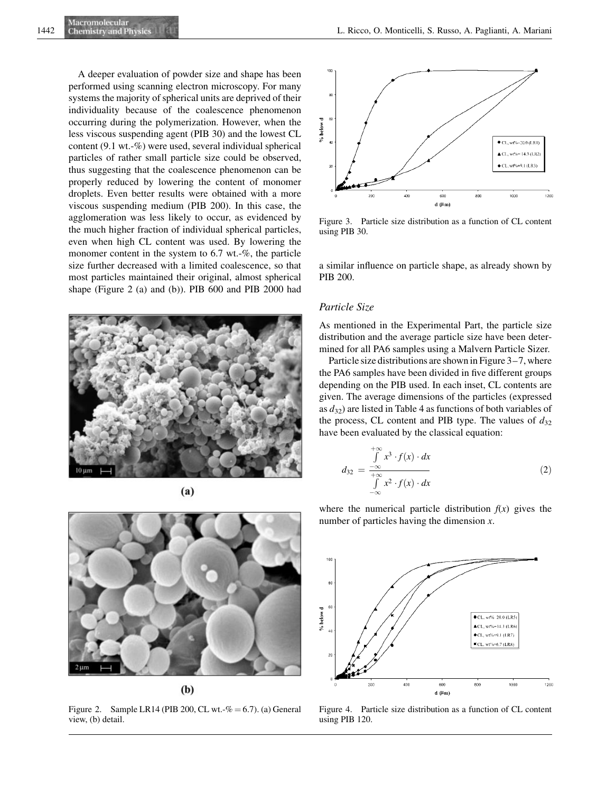A deeper evaluation of powder size and shape has been performed using scanning electron microscopy. For many systems the majority of spherical units are deprived of their individuality because of the coalescence phenomenon occurring during the polymerization. However, when the less viscous suspending agent (PIB 30) and the lowest CL content (9.1 wt.-%) were used, several individual spherical particles of rather small particle size could be observed, thus suggesting that the coalescence phenomenon can be properly reduced by lowering the content of monomer droplets. Even better results were obtained with a more viscous suspending medium (PIB 200). In this case, the agglomeration was less likely to occur, as evidenced by the much higher fraction of individual spherical particles, even when high CL content was used. By lowering the monomer content in the system to 6.7 wt.-%, the particle size further decreased with a limited coalescence, so that most particles maintained their original, almost spherical shape (Figure 2 (a) and (b)). PIB 600 and PIB 2000 had



 $(a)$ 



 $(b)$ 

Figure 2. Sample LR14 (PIB 200, CL wt.-% = 6.7). (a) General view, (b) detail.



Figure 3. Particle size distribution as a function of CL content using PIB 30.

a similar influence on particle shape, as already shown by PIB 200.

## Particle Size

As mentioned in the Experimental Part, the particle size distribution and the average particle size have been determined for all PA6 samples using a Malvern Particle Sizer.

Particle size distributions are shown in Figure 3–7, where the PA6 samples have been divided in five different groups depending on the PIB used. In each inset, CL contents are given. The average dimensions of the particles (expressed as  $d_{32}$ ) are listed in Table 4 as functions of both variables of the process, CL content and PIB type. The values of  $d_{32}$ have been evaluated by the classical equation:

$$
d_{32} = \frac{\int_{-\infty}^{+\infty} x^3 \cdot f(x) \cdot dx}{\int_{-\infty}^{+\infty} x^2 \cdot f(x) \cdot dx}
$$
 (2)

where the numerical particle distribution  $f(x)$  gives the number of particles having the dimension  $x$ .



Figure 4. Particle size distribution as a function of CL content using PIB 120.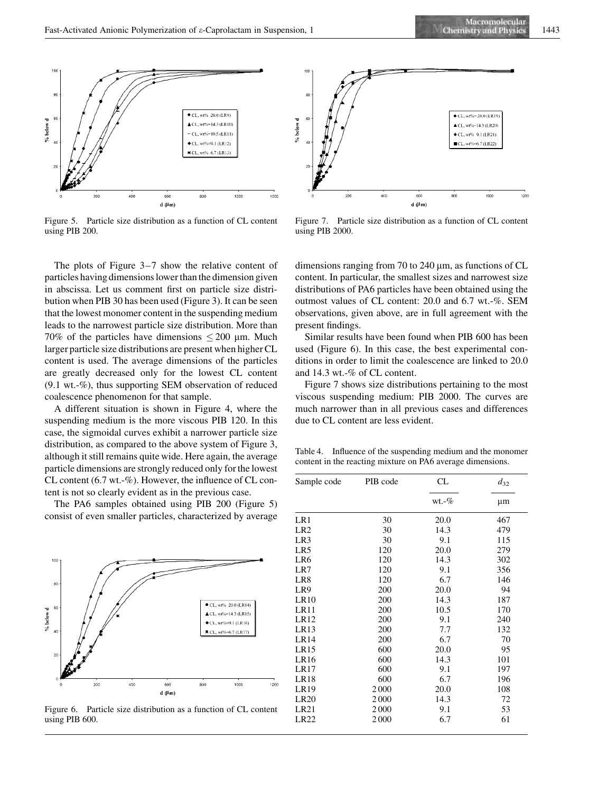

Figure 5. Particle size distribution as a function of CL content using PIB 200.

The plots of Figure 3–7 show the relative content of particles having dimensions lower than the dimension given in abscissa. Let us comment first on particle size distribution when PIB 30 has been used (Figure 3). It can be seen that the lowest monomer content in the suspending medium leads to the narrowest particle size distribution. More than 70% of the particles have dimensions  $\leq 200$  µm. Much larger particle size distributions are present when higher CL content is used. The average dimensions of the particles are greatly decreased only for the lowest CL content (9.1 wt.-%), thus supporting SEM observation of reduced coalescence phenomenon for that sample.

A different situation is shown in Figure 4, where the suspending medium is the more viscous PIB 120. In this case, the sigmoidal curves exhibit a narrower particle size distribution, as compared to the above system of Figure 3, although it still remains quite wide. Here again, the average particle dimensions are strongly reduced only for the lowest CL content (6.7 wt.-%). However, the influence of CL content is not so clearly evident as in the previous case.

The PA6 samples obtained using PIB 200 (Figure 5) consist of even smaller particles, characterized by average



Figure 6. Particle size distribution as a function of CL content using PIB 600.



Figure 7. Particle size distribution as a function of CL content using PIB 2000.

dimensions ranging from 70 to 240  $\mu$ m, as functions of CL content. In particular, the smallest sizes and narrowest size distributions of PA6 particles have been obtained using the outmost values of CL content: 20.0 and 6.7 wt.-%. SEM observations, given above, are in full agreement with the present findings.

Similar results have been found when PIB 600 has been used (Figure 6). In this case, the best experimental conditions in order to limit the coalescence are linked to 20.0 and 14.3 wt.-% of CL content.

Figure 7 shows size distributions pertaining to the most viscous suspending medium: PIB 2000. The curves are much narrower than in all previous cases and differences due to CL content are less evident.

Table 4. Influence of the suspending medium and the monomer content in the reacting mixture on PA6 average dimensions.

| Sample code      | PIB code | CL       | $d_{32}$ |  |
|------------------|----------|----------|----------|--|
|                  |          | wt.- $%$ | μm       |  |
| LR1              | 30       | 20.0     | 467      |  |
| LR <sub>2</sub>  | 30       | 14.3     | 479      |  |
| LR <sub>3</sub>  | 30       | 9.1      | 115      |  |
| LR5              | 120      | 20.0     | 279      |  |
| LR6              | 120      | 14.3     | 302      |  |
| LR7              | 120      | 9.1      | 356      |  |
| LR <sub>8</sub>  | 120      | 6.7      | 146      |  |
| LR9              | 200      | 20.0     | 94       |  |
| LR <sub>10</sub> | 200      | 14.3     | 187      |  |
| LR11             | 200      | 10.5     | 170      |  |
| LR <sub>12</sub> | 200      | 9.1      | 240      |  |
| LR <sub>13</sub> | 200      | 7.7      | 132      |  |
| LR <sub>14</sub> | 200      | 6.7      | 70       |  |
| LR15             | 600      | 20.0     | 95       |  |
| LR16             | 600      | 14.3     | 101      |  |
| LR <sub>17</sub> | 600      | 9.1      | 197      |  |
| LR18             | 600      | 6.7      | 196      |  |
| LR <sub>19</sub> | 2000     | 20.0     | 108      |  |
| <b>LR20</b>      | 2000     | 14.3     | 72       |  |
| LR <sub>21</sub> | 2000     | 9.1      | 53       |  |
| LR22             | 2000     | 6.7      | 61       |  |